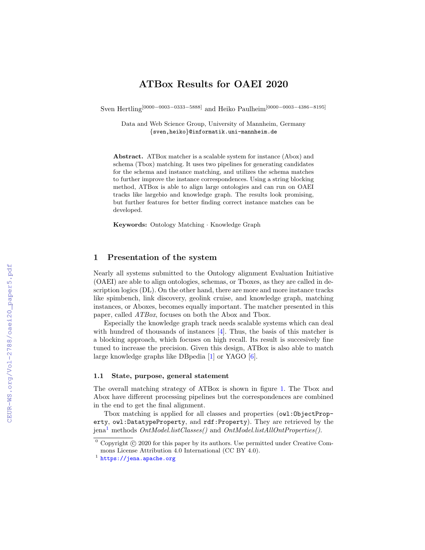# ATBox Results for OAEI 2020

Sven Hertling<sup>[0000–0003–0333–5888]</sup> and Heiko Paulheim<sup>[0000–0003–4386–8195]</sup>

Data and Web Science Group, University of Mannheim, Germany {sven,heiko}@informatik.uni-mannheim.de

Abstract. ATBox matcher is a scalable system for instance (Abox) and schema (Tbox) matching. It uses two pipelines for generating candidates for the schema and instance matching, and utilizes the schema matches to further improve the instance correspondences. Using a string blocking method, ATBox is able to align large ontologies and can run on OAEI tracks like largebio and knowledge graph. The results look promising, but further features for better finding correct instance matches can be developed.

Keywords: Ontology Matching · Knowledge Graph

## 1 Presentation of the system

Nearly all systems submitted to the Ontology alignment Evaluation Initiative (OAEI) are able to align ontologies, schemas, or Tboxes, as they are called in description logics (DL). On the other hand, there are more and more instance tracks like spimbench, link discovery, geolink cruise, and knowledge graph, matching instances, or Aboxes, becomes equally important. The matcher presented in this paper, called ATBox, focuses on both the Abox and Tbox.

Especially the knowledge graph track needs scalable systems which can deal with hundred of thousands of instances [\[4\]](#page--1-0). Thus, the basis of this matcher is a blocking approach, which focuses on high recall. Its result is succesively fine tuned to increase the precision. Given this design, ATBox is also able to match large knowledge graphs like DBpedia [\[1\]](#page--1-1) or YAGO [\[6\]](#page--1-2).

#### 1.1 State, purpose, general statement

The overall matching strategy of ATBox is shown in figure [1.](#page--1-3) The Tbox and Abox have different processing pipelines but the correspondences are combined in the end to get the final alignment.

Tbox matching is applied for all classes and properties (owl:ObjectProperty, owl:DatatypeProperty, and rdf:Property). They are retrieved by the  $jena<sup>1</sup>$  $jena<sup>1</sup>$  $jena<sup>1</sup>$  methods  $OntModel-listClasses()$  and  $OntModelListAllOntProperties()$ .

 $0$  Copyright  $\odot$  2020 for this paper by its authors. Use permitted under Creative Commons License Attribution 4.0 International (CC BY 4.0).

<span id="page-0-0"></span><sup>1</sup> <https://jena.apache.org>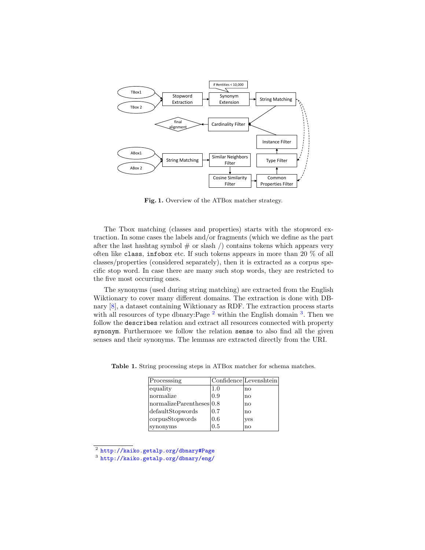

<span id="page-1-3"></span>Fig. 1. Overview of the ATBox matcher strategy.

The Tbox matching (classes and properties) starts with the stopword extraction. In some cases the labels and/or fragments (which we define as the part after the last hashtag symbol  $#$  or slash  $/$ ) contains tokens which appears very often like class, infobox etc. If such tokens appears in more than 20 % of all classes/properties (considered separately), then it is extracted as a corpus specific stop word. In case there are many such stop words, they are restricted to the five most occurring ones.

The synonyms (used during string matching) are extracted from the English Wiktionary to cover many different domains. The extraction is done with DBnary [\[8\]](#page-7-0), a dataset containing Wiktionary as RDF. The extraction process starts with all resources of type dbnary: Page  $^2$  $^2$  within the English domain  $^3$  $^3$ . Then we follow the describes relation and extract all resources connected with property synonym. Furthermore we follow the relation sense to also find all the given senses and their synonyms. The lemmas are extracted directly from the URI.

<span id="page-1-2"></span>

| Processing           |     | Confidence Levenshtein |
|----------------------|-----|------------------------|
| equality             | 1.0 | no                     |
| normalize            | 0.9 | no                     |
| normalizeParents 0.8 |     | no                     |
| defaultStopwords     | 0.7 | no                     |
| corpusStopwords      | 0.6 | ves                    |
| synonyms             | 0.5 | no                     |

Table 1. String processing steps in ATBox matcher for schema matches.

<span id="page-1-0"></span><sup>2</sup> <http://kaiko.getalp.org/dbnary#Page>

<span id="page-1-1"></span><sup>3</sup> <http://kaiko.getalp.org/dbnary/eng/>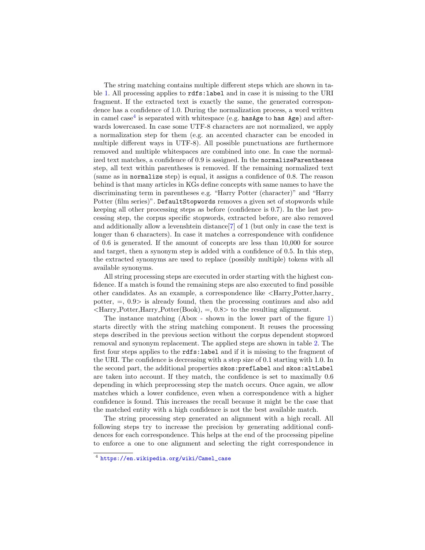The string matching contains multiple different steps which are shown in table [1.](#page-1-2) All processing applies to rdfs:label and in case it is missing to the URI fragment. If the extracted text is exactly the same, the generated correspondence has a confidence of 1.0. During the normalization process, a word written in camel case<sup>[4](#page-2-0)</sup> is separated with whitespace (e.g.  $hasAge$  to  $has\ Age$ ) and afterwards lowercased. In case some UTF-8 characters are not normalized, we apply a normalization step for them (e.g. an accented character can be encoded in multiple different ways in UTF-8). All possible punctuations are furthermore removed and multiple whitespaces are combined into one. In case the normalized text matches, a confidence of 0.9 is assigned. In the normalizeParentheses step, all text within parentheses is removed. If the remaining normalized text (same as in normalize step) is equal, it assigns a confidence of 0.8. The reason behind is that many articles in KGs define concepts with same names to have the discriminating term in parentheses e.g. "Harry Potter (character)" and "Harry Potter (film series)". DefaultStopwords removes a given set of stopwords while keeping all other processing steps as before (confidence is 0.7). In the last processing step, the corpus specific stopwords, extracted before, are also removed and additionally allow a levenshtein distance  $[7]$  of 1 (but only in case the text is longer than 6 characters). In case it matches a correspondence with confidence of 0.6 is generated. If the amount of concepts are less than 10,000 for source and target, then a synonym step is added with a confidence of 0.5. In this step, the extracted synonyms are used to replace (possibly multiple) tokens with all available synonyms.

All string processing steps are executed in order starting with the highest confidence. If a match is found the remaining steps are also executed to find possible other candidates. As an example, a correspondence like <Harry Potter,harry potter,  $=$ ,  $0.9$  is already found, then the processing continues and also add  $\langle$ Harry Potter,Harry Potter(Book), =, 0.8> to the resulting alignment.

The instance matching (Abox - shown in the lower part of the figure [1\)](#page-1-3) starts directly with the string matching component. It reuses the processing steps described in the previous section without the corpus dependent stopword removal and synonym replacement. The applied steps are shown in table [2.](#page-3-0) The first four steps applies to the rdfs:label and if it is missing to the fragment of the URI. The confidence is decreasing with a step size of 0.1 starting with 1.0. In the second part, the additional properties skos:prefLabel and skos:altLabel are taken into account. If they match, the confidence is set to maximally 0.6 depending in which preprocessing step the match occurs. Once again, we allow matches which a lower confidence, even when a correspondence with a higher confidence is found. This increases the recall because it might be the case that the matched entity with a high confidence is not the best available match.

The string processing step generated an alignment with a high recall. All following steps try to increase the precision by generating additional confidences for each correspondence. This helps at the end of the processing pipeline to enforce a one to one alignment and selecting the right correspondence in

<span id="page-2-0"></span><sup>4</sup> [https://en.wikipedia.org/wiki/Camel\\_case](https://en.wikipedia.org/wiki/Camel_case)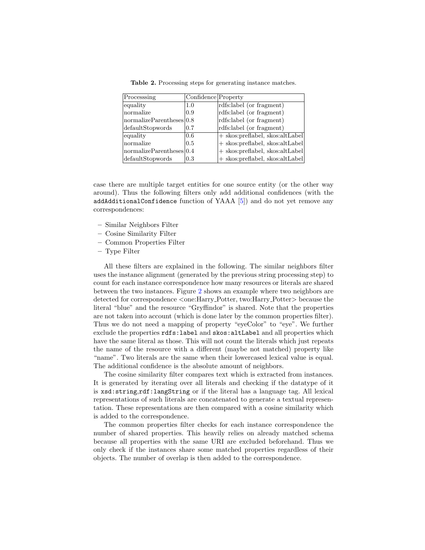| Processing                 | Confidence Property |                                     |
|----------------------------|---------------------|-------------------------------------|
| equality                   | 1.0                 | rdfs:label (or fragment)            |
| normalize                  | 0.9                 | rdfs:label (or fragment)            |
| normalize Parentsles [0.8] |                     | rdfs:label (or fragment)            |
| defaultStopwords           | 0.7                 | rdfs:label (or fragment)            |
| equality                   | 0.6                 | $+$ skos: preflabel, skos: altLabel |
| normalize                  | 0.5                 | $+$ skos: preflabel, skos: altLabel |
| normalizeParents 0.4       |                     | $+$ skos:preflabel, skos:altLabel   |
| defaultStopwords           | 0.3                 | $+$ skos: preflabel, skos: altLabel |

<span id="page-3-0"></span>Table 2. Processing steps for generating instance matches.

case there are multiple target entities for one source entity (or the other way around). Thus the following filters only add additional confidences (with the addAdditionalConfidence function of YAAA [\[5\]](#page-7-2)) and do not yet remove any correspondences:

- Similar Neighbors Filter
- Cosine Similarity Filter
- Common Properties Filter
- Type Filter

All these filters are explained in the following. The similar neighbors filter uses the instance alignment (generated by the previous string processing step) to count for each instance correspondence how many resources or literals are shared between the two instances. Figure [2](#page-4-0) shows an example where two neighbors are detected for correspondence  $\langle$ one:Harry\_Potter, two:Harry\_Potter> because the literal "blue" and the resource "Gryffindor" is shared. Note that the properties are not taken into account (which is done later by the common properties filter). Thus we do not need a mapping of property "eyeColor" to "eye". We further exclude the properties rdfs:label and skos:altLabel and all properties which have the same literal as those. This will not count the literals which just repeats the name of the resource with a different (maybe not matched) property like "name". Two literals are the same when their lowercased lexical value is equal. The additional confidence is the absolute amount of neighbors.

The cosine similarity filter compares text which is extracted from instances. It is generated by iterating over all literals and checking if the datatype of it is xsd:string,rdf:langString or if the literal has a language tag. All lexical representations of such literals are concatenated to generate a textual representation. These representations are then compared with a cosine similarity which is added to the correspondence.

The common properties filter checks for each instance correspondence the number of shared properties. This heavily relies on already matched schema because all properties with the same URI are excluded beforehand. Thus we only check if the instances share some matched properties regardless of their objects. The number of overlap is then added to the correspondence.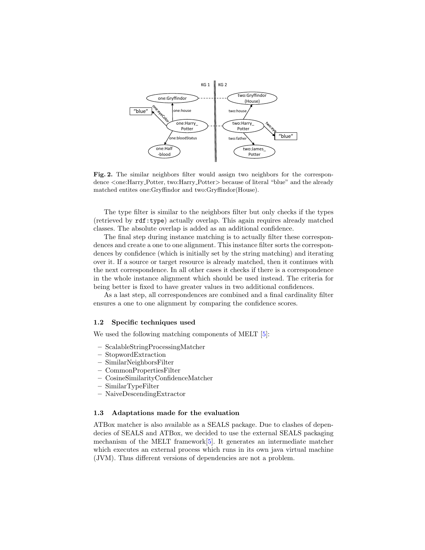

<span id="page-4-0"></span>Fig. 2. The similar neighbors filter would assign two neighbors for the correspondence <one:Harry\_Potter, two:Harry\_Potter> because of literal "blue" and the already matched entites one:Gryffindor and two:Gryffindor(House).

The type filter is similar to the neighbors filter but only checks if the types (retrieved by rdf:type) actually overlap. This again requires already matched classes. The absolute overlap is added as an additional confidence.

The final step during instance matching is to actually filter these correspondences and create a one to one alignment. This instance filter sorts the correspondences by confidence (which is initially set by the string matching) and iterating over it. If a source or target resource is already matched, then it continues with the next correspondence. In all other cases it checks if there is a correspondence in the whole instance alignment which should be used instead. The criteria for being better is fixed to have greater values in two additional confidences.

As a last step, all correspondences are combined and a final cardinality filter ensures a one to one alignment by comparing the confidence scores.

#### 1.2 Specific techniques used

We used the following matching components of MELT  $[5]$ :

- ScalableStringProcessingMatcher
- StopwordExtraction
- SimilarNeighborsFilter
- CommonPropertiesFilter
- CosineSimilarityConfidenceMatcher
- SimilarTypeFilter
- NaiveDescendingExtractor

## 1.3 Adaptations made for the evaluation

ATBox matcher is also available as a SEALS package. Due to clashes of dependecies of SEALS and ATBox, we decided to use the external SEALS packaging mechanism of the MELT framework[\[5\]](#page-7-2). It generates an intermediate matcher which executes an external process which runs in its own java virtual machine (JVM). Thus different versions of dependencies are not a problem.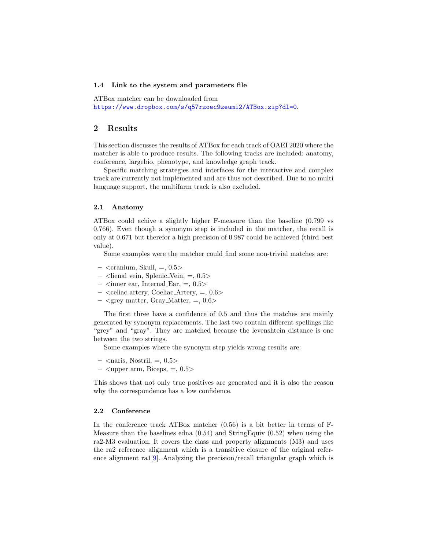#### 1.4 Link to the system and parameters file

ATBox matcher can be downloaded from

<https://www.dropbox.com/s/q57rzoec9zeumi2/ATBox.zip?dl=0>.

## 2 Results

This section discusses the results of ATBox for each track of OAEI 2020 where the matcher is able to produce results. The following tracks are included: anatomy, conference, largebio, phenotype, and knowledge graph track.

Specific matching strategies and interfaces for the interactive and complex track are currently not implemented and are thus not described. Due to no multi language support, the multifarm track is also excluded.

#### 2.1 Anatomy

ATBox could achive a slightly higher F-measure than the baseline (0.799 vs 0.766). Even though a synonym step is included in the matcher, the recall is only at 0.671 but therefor a high precision of 0.987 could be achieved (third best value).

Some examples were the matcher could find some non-trivial matches are:

- $-$  <cranium, Skull,  $=$ , 0.5 $>$
- $-$  <lienal vein, Splenic Vein,  $=$ , 0.5>
- $\langle$  inner ear, Internal Ear,  $=$ , 0.5 $>$
- $-$  <celiac artery, Coeliac Artery,  $=$ , 0.6>
- $-$  <grey matter, Gray Matter,  $=$ , 0.6>

The first three have a confidence of 0.5 and thus the matches are mainly generated by synonym replacements. The last two contain different spellings like "grey" and "gray". They are matched because the levenshtein distance is one between the two strings.

Some examples where the synonym step yields wrong results are:

- $\langle$  naris, Nostril,  $=$ , 0.5 $>$
- $-$  <upper arm, Biceps,  $=$ , 0.5 $>$

This shows that not only true positives are generated and it is also the reason why the correspondence has a low confidence.

#### 2.2 Conference

In the conference track ATBox matcher  $(0.56)$  is a bit better in terms of F-Measure than the baselines edna (0.54) and StringEquiv (0.52) when using the ra2-M3 evaluation. It covers the class and property alignments (M3) and uses the ra2 reference alignment which is a transitive closure of the original reference alignment ra1 $[9]$ . Analyzing the precision/recall triangular graph which is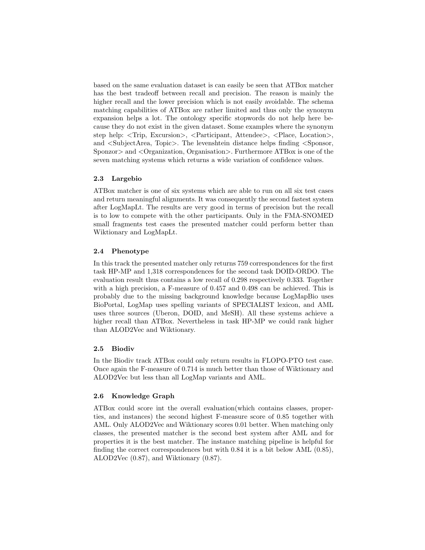based on the same evaluation dataset is can easily be seen that ATBox matcher has the best tradeoff between recall and precision. The reason is mainly the higher recall and the lower precision which is not easily avoidable. The schema matching capabilities of ATBox are rather limited and thus only the synonym expansion helps a lot. The ontology specific stopwords do not help here because they do not exist in the given dataset. Some examples where the synonym step help: <Trip, Excursion>, <Participant, Attendee>, <Place, Location>, and <SubjectArea, Topic>. The levenshtein distance helps finding <Sponsor, Sponzor> and <Organization, Organisation>. Furthermore ATBox is one of the seven matching systems which returns a wide variation of confidence values.

## 2.3 Largebio

ATBox matcher is one of six systems which are able to run on all six test cases and return meaningful alignments. It was consequently the second fastest system after LogMapLt. The results are very good in terms of precision but the recall is to low to compete with the other participants. Only in the FMA-SNOMED small fragments test cases the presented matcher could perform better than Wiktionary and LogMapLt.

## 2.4 Phenotype

In this track the presented matcher only returns 759 correspondences for the first task HP-MP and 1,318 correspondences for the second task DOID-ORDO. The evaluation result thus contains a low recall of 0.298 respectively 0.333. Together with a high precision, a F-measure of 0.457 and 0.498 can be achieved. This is probably due to the missing background knowledge because LogMapBio uses BioPortal, LogMap uses spelling variants of SPECIALIST lexicon, and AML uses three sources (Uberon, DOID, and MeSH). All these systems achieve a higher recall than ATBox. Nevertheless in task HP-MP we could rank higher than ALOD2Vec and Wiktionary.

#### 2.5 Biodiv

In the Biodiv track ATBox could only return results in FLOPO-PTO test case. Once again the F-measure of 0.714 is much better than those of Wiktionary and ALOD2Vec but less than all LogMap variants and AML.

## 2.6 Knowledge Graph

ATBox could score int the overall evaluation(which contains classes, properties, and instances) the second highest F-measure score of 0.85 together with AML. Only ALOD2Vec and Wiktionary scores 0.01 better. When matching only classes, the presented matcher is the second best system after AML and for properties it is the best matcher. The instance matching pipeline is helpful for finding the correct correspondences but with 0.84 it is a bit below AML (0.85), ALOD2Vec (0.87), and Wiktionary (0.87).